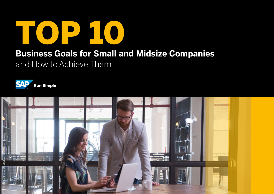

### **Business Goals for Small and Midsize Companies**

and How to Achieve Them



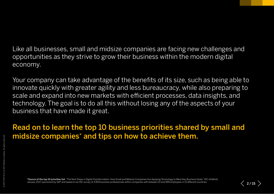Like all businesses, small and midsize companies are facing new challenges and opportunities as they strive to grow their business within the modern digital economy.

Your company can take advantage of the benefits of its size, such as being able to innovate quickly with greater agility and less bureaucracy, while also preparing to scale and expand into new markets with efficient processes, data insights, and technology. The goal is to do all this without losing any of the aspects of your business that have made it great.

Read on to learn the top 10 business priorities shared by small and midsize companies\* and tips on how to achieve them.

\*Source of the top 10 priorities list: "The Next Steps in Digital Transformation: How Small and Midsize Companies Are Applying Technology to Meet Key Business Goals," IDC InfoBrief, January 2017, sponsored by SAP and based on an IDC survey of 3,904 business professionals within companies with between 10 and 999 employees in 13 different countries.

 $\langle$  2/15  $\rangle$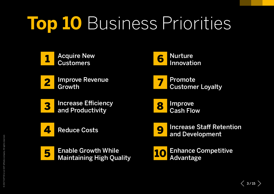# **Top 10** Business Priorities







2 Improve Revenue



**3** Increase Efficiency and Productivity



**4 [Reduce Costs](#page-6-0)** 



**5** Enable Growth While<br>[Maintaining High Quality](#page-7-0)



8 Improve<br>[Cash Flow](#page-10-0)



**9** Increase Staff Retention and Development

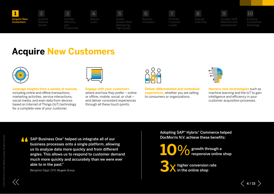<span id="page-3-0"></span>



2 [Revenue](#page-4-0) 

[Productivity](#page-5-0)

3



5



7

[Customer](#page-9-0) 

6



8 [Cash Flow](#page-10-0)

Increase Staff Development

10

### **Acquire New Customers**



**Leverage insights from a variety of sources,**  including online and offline transactions, marketing activities, service interactions, social media, and even data from devices based on Internet of Things (IoT) technology for a complete view of your customer.

**Engage with your customers** where and how they prefer – online or offline, mobile, social, or chat – and deliver consistent experiences through all these touch points.



**Deliver differentiated and contextual experiences**, whether you are selling to consumers or organizations.

| ۰ |  |
|---|--|
| ۰ |  |
|   |  |
| ł |  |
| è |  |
|   |  |

**Harness new technologies** such as machine learning and the IoT to gain intelligence and efficiency in your customer acquisition processes.

**4 SAP Business One® helped us integrate all of our business processes onto a single platform, allowities to analyze data more quickly and from differer** business processes onto a single platform, allowing us to analyze data more quickly and from different angles. This allows us to respond to customer demand much more quickly and accurately than we were ever able to in the past."

Benjamin Sippl, CFO, Mugele Group

Adopting SAP® Hybris® Commerce helped DocMorris N.V. achieve these benefits:

growth through a **10**%responsive online shop

higher conversion rate **3**xin the online shop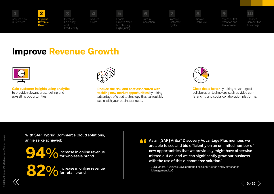<span id="page-4-0"></span>





[Productivity](#page-5-0)



5

6





7

[Customer](#page-9-0) 



[Cash Flow](#page-10-0)

Increase Staff Development

9

10

### **Improve Revenue Growth**



**Gain customer insights using analytics** to provide relevant cross-selling and up-selling opportunities.



**Reduce the risk and cost associated with tackling new market opportunities** by taking advantage of cloud technology that can quickly scale with your business needs.



**Close deals faster** by taking advantage of collaboration technology such as video conferencing and social collaboration platforms.

With SAP Hybris® Commerce Cloud solutions, annie selke achieved:



increase in online revenue **82**%for retail brand

**As an [SAP] Ariba**® Discovery Advantage Plus member, we are able to see and bid efficiently on an unlimited number new opportunities that we previously might have otherwis are able to see and bid efficiently on an unlimited number of new opportunities that we previously might have otherwise missed out on, and we can significantly grow our business with the use of this e-commerce solution."

– Julia Moore, Business Development, Eco Construction and Maintenance Management LLC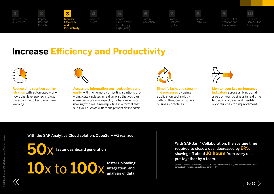<span id="page-5-0"></span>





3

and

5



6

7 Promote



Increase Staff Development

10

### **Increase Efficiency and Productivity**

Costs



**Reduce time spent on administration** with automated workflows that leverage technology based on the IoT and machine learning.



**Access the information you need, quickly and easily,** with in-memory computing solutions providing data updates in real time, so that you can make decisions more quickly. Enhance decision making with real-time reporting in a format that suits you, such as with management dashboards.



**Simplify tasks and streamline processes** by using application technology with built-in, best-in-class business practices.



**Monitor your key performance indicators** across all functional areas of your business in real time to track progress and identify opportunities for improvement.

With the SAP Analytics Cloud solution, CubeServ AG realized:

faster dashboard generation

10x to 100<sub>X</sub> faster uploading,

With SAP Jam™ Collaboration, the average time required to close a deal decreased by **9%,** shaving off about **10 hours** from every deal put together by a team.

Source: "The Total Economic Impact™ of SAP Jam Collaboration," a July 2016 commissioned study conducted by Forrester Consulting on behalf of SAP.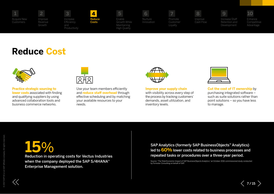<span id="page-6-0"></span>

2



4 Reduce Costs

3



5





7

[Customer](#page-9-0) 



[Cash Flow](#page-10-0)

Increase Staff Development

9

10

### **Reduce Cost**



**Practice strategic sourcing to lower costs** associated with finding and qualifying suppliers by using advanced collaboration tools and business commerce networks.



Use your team members efficiently and **reduce staff overhead** through effective scheduling and by matching your available resources to your needs.



**Improve your supply chain** with visibility across every step of the process by tracking customers' demands, asset utilization, and inventory levels.

**Cut the cost of IT ownership** by purchasing integrated software – such as suite solutions rather than point solutions – so you have less to manage.

Reduction in operating costs for Vectus Industries when the company deployed the SAP S/4HANA® Enterprise Management solution.

**150⁄6**<br>
SAP Analytics (formerly SAP BusinessObjects™ Analytics)<br>
led to <mark>60%</mark> lower costs related to business processes and<br>
second the cost of the cost related repeated tasks or procedures over a three-year period.

> Source: "The Total Economic Impact of SAP BusinessObjects Analytics," an October 2016 commissioned study conducted by Forrester Consulting on behalf of SAP.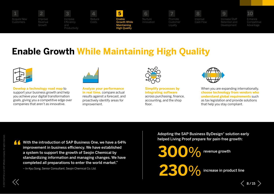<span id="page-7-0"></span>

### **Enable Growth While Maintaining High Quality**



**Develop a technology road map** to support your business growth and help you achieve your digital transformation goals, giving you a competitive edge over companies that aren't as innovative.



**Analyze your performance in real time,** compare actual results against a forecast, and proactively identify areas for improvement.



**Simplify processes by integrating software**  across purchasing, finance, accounting, and the shop floor



When you are expanding internationally, **choose technology from vendors who understand global requirements** such as tax legislation and provide solutions that help you stay compliant.

With the introduction of SAP Business One, we have a 64% improvement in business efficiency. We have established a system to support the growth of Seojin Chemical by standardizing information and managing changes. We have completed all preparations to enter the world market." **"**

– In-Kyu Song, Senior Consultant, Seojin Chemical Co. Ltd.

Adopting the SAP Business ByDesign® solution early helped Living Proof prepare for pain-free growth:

**300%** revenue growth **230%** increase in product line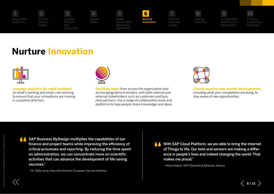<span id="page-8-0"></span>

[Acquire New](#page-3-0)  Customers



2

3



5



6

Innovation

7 Promote



Increase Staff Development

9

 $\langle$  9/15  $\rangle$ 

10

### **Nurture Innovation**



**Leverage analytics for rapid feedback** on what's working and what's not working to ensure that your innovations are moving in a positive direction.



**Facilitate input** from across the organization and across geographical borders, with both internal and external stakeholders such as customers and business partners. Use a range of collaboration tools and platforms to help people share knowledge and ideas.



**Closely monitor new market developments**, including what your competitors are doing, to stay aware of new opportunities.

SAP Business ByDesign multiplies the capabilities of our finance and project teams while improving the efficiency of critical processes and reporting. By reducing the time spent on administration, we can concentrate more on scientific activities that can advance the development of life-saving vaccines." **"**

– Dr. Odile Leroy, Executive Director, European Vaccine Initiative

<sup>1</sup> With SAP Cloud Platform, we are able to bring the Internet of Things to life. Our bots and sensors are making a difference in people's lives and indeed changing the world. That of Things to life. Our bots and sensors are making a difference in people's lives and indeed changing the world. That makes me proud."

– Robin Kearon, SVP Channels & Alliances, Kore.ai

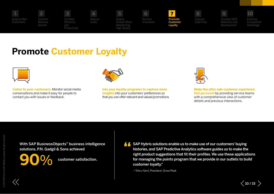<span id="page-9-0"></span>



2 [Revenue](#page-4-0) 



Costs

5



7 Promote Customer

Loyalty



Increase Staff Development

9

10

### **Promote Customer Loyalty**



**Listen to your customers.** Monitor social media conversations and make it easy for people to contact you with issues or feedback.



**Use your loyalty programs to capture more insights** into your customers' preferences so that you can offer relevant and valued promotions.



**Make the after-sale customer experience feel personal** by providing service teams with a comprehensive view of customer details and previous interactions.

**"** With SAP BusinessObjects™ business intelligence solutions, P.N. Gadgil & Sons achieved

**90**% customer satisfaction.

 $\triangle$  SAP Hybris solutions enable us to make use of our customers' buying histories, and SAP Predictive Analytics software guides us to make the right product suggestions that fit their profiles. We use these applications for managing the points program that we provide in our outlets to build customer loyalty."

– Tohru Yami, President, Snow Peak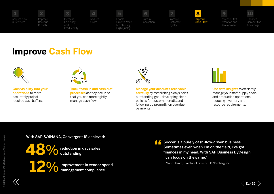<span id="page-10-0"></span>

[Acquire New](#page-3-0)  Customers



2

3





[Customer](#page-9-0) 



Development

10

### **Improve Cash Flow**



**Gain visibility into your operations** to more accurately project required cash buffers.



**Track "cash in and cash out" processes** as they occur so that you can more tightly manage cash flow.

Costs



**Manage your accounts receivable carefully** by establishing a days-salesoutstanding goal, developing clear policies for customer credit, and following up promptly on overdue payments.



**Use data insights** to efficiently manage your staff, supply chain, and production operations, reducing inventory and resource requirements.

#### With SAP S/4HANA, Convergent IS achieved:



**48**%reduction in days sales outstanding



improvement in vendor spend<br>management compliance

**4 Soccer is a purely cash-flow-driven business.<br>Sometimes even when I'm on the field, I've go<br>finances in my head. With SAP Business ByDe** Sometimes even when I'm on the field, I've got finances in my head. With SAP Business ByDesign, I can focus on the game."

– Mario Hamm, Director of Finance, FC Nürnberg e.V.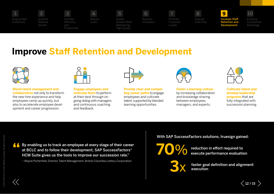<span id="page-11-0"></span>

2



[Productivity](#page-5-0)

Costs





Promote

7

[Customer](#page-9-0) 

8

[Cash Flow](#page-10-0)

Increase Staff Retention and Development

9

[Competitive](#page-12-0) 

10

### **Improve Staff Retention and Development**



**Blend talent management and collaboration** not only to transform the new-hire experience and help employees ramp up quickly, but also to accelerate employee development and career progression.



**Engage employees and motivate them** to perform at their best through ongoing dialog with managers and continuous coaching and feedback.



**Provide clear and compelling career paths** to engage employees and cultivate talent, supported by blended learning opportunities.



**Foster a learning culture**  by increasing collaboration and knowledge sharing between employees, managers, and experts.



**Cultivate talent and develop leadership programs** that are fully integrated with succession planning.

 $\langle$  12/15  $\rangle$ 

**4 By enabling us to track an employee at every stage of their career at BCLC and to follow their development, SAP SuccessFactors<sup>®</sup> <b>100% execute performance evaluation**<br>HCM Suite gives us the tools to improve our success at BCLC and to follow their development, SAP SuccessFactors® HCM Suite gives us the tools to improve our succession rate."

– Wayne Porterfield, Director Talent Management, British Columbia Lottery Corporation

With SAP SuccessFactors solutions, truesign gained:





faster goal definition and alignment<br>execution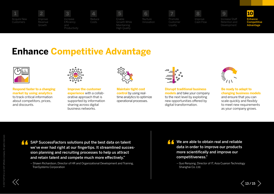<span id="page-12-0"></span>

2 [Revenue](#page-4-0) 



3

[Productivity](#page-5-0)

Costs

5



Promote [Customer](#page-9-0) 

7

8

[Cash Flow](#page-10-0)

Increase Staff Development

Enhance **Competitive** Advantage 10

## **Enhance Competitive Advantage**



**Respond faster to a changing market by using analytics** to track critical information about competitors, prices, and discounts.



**Improve the customer experience** with a collaborative approach that is supported by information sharing across digital business networks.



**Maintain tight cost control** by using realtime analytics to optimize operational processes.



**Disrupt traditional business models** and take your company to the next level by exploiting new opportunities offered by digital transformation.



**Be ready to adapt to changing business models** and ensure that you can scale quickly and flexibly to meet new requirements as your company grows.

 $\ll$ 



– Shawn Richardson, Director of HR and Organizational Development and Training, TranSystems Corporation

We are able to obtain real and reliable data in order to improve our products more scientifically and improve our competitiveness."

– Guo Renyong, Director of IT, Asia Cuanon Technology Shanghai Co. Ltd.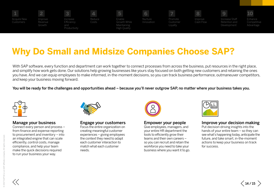

## **Why Do Small and Midsize Companies Choose SAP?**

With SAP software, every function and department can work together to connect processes from across the business, put resources in the right place, and simplify how work gets done. Our solutions help growing businesses like yours stay focused on both getting new customers and retaining the ones you have. And we can equip employees to make informed, in-the-moment decisions, so you can track business performance, outmaneuver competitors, and keep your business moving forward.

You will be ready for the challenges and opportunities ahead – because you'll never outgrow SAP, no matter where your business takes you.



#### Manage your business

Connect every person and process – from finance and expense reporting to procurement and inventory – into an integrated engine that can scale efficiently, control costs, manage compliance, and help your team make the quick decisions required to run your business your way.



#### Engage your customers

Focus the entire organization on creating meaningful customer experiences – giving employees the context they need to adapt each customer interaction to match what each customer needs.



#### Empower your people

Give employees, managers, and your entire HR department the tools to efficiently grow their teams and their own careers – so you can recruit and retain the workforce you need to take your business where you want it to go.



### Improve your decision making

Put decision-driving insights into the hands of your entire team – so they can see what's happening today, anticipate the future, and take smart, in-the-moment actions to keep your business on track for success.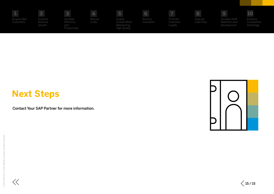| . .                      | -                            | 3                                             | a se            |                                                       |                       |                                |                      |                                                | 10.                                 |
|--------------------------|------------------------------|-----------------------------------------------|-----------------|-------------------------------------------------------|-----------------------|--------------------------------|----------------------|------------------------------------------------|-------------------------------------|
| Acquire New<br>Customers | Improve<br>Revenue<br>Growth | Increase<br>Efficiency<br>and<br>Productivity | Reduce<br>Costs | Enable<br>Growth While<br>Maintaining<br>High Quality | Nurture<br>Innovation | Promote<br>Customer<br>Loyalty | Improve<br>Cash Flow | Increase Staff<br>Retention and<br>Development | Enhance<br>Competitive<br>Advantage |

### **Next Steps**

Contact Your SAP Partner for more information.